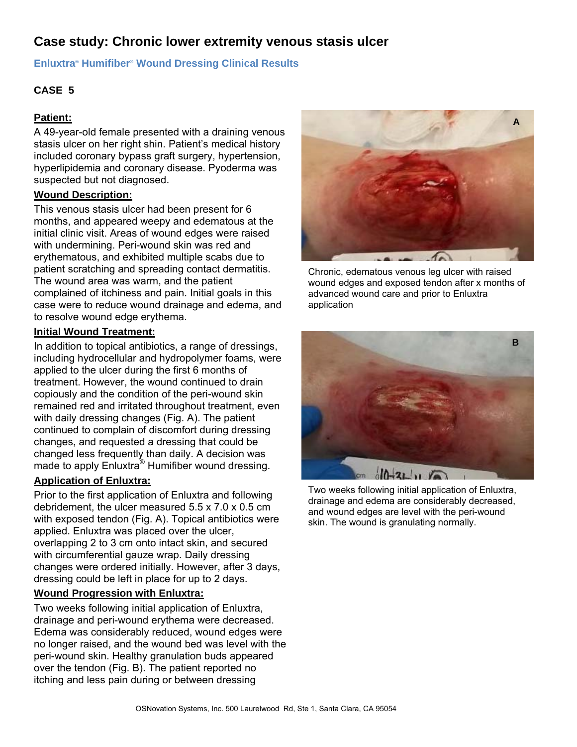# **Case study: Chronic lower extremity venous stasis ulcer**

### **Enluxtra® Humifiber® Wound Dressing Clinical Results**

# **CASE 5**

## **Patient:**

A 49-year-old female presented with a draining venous stasis ulcer on her right shin. Patient's medical history included coronary bypass graft surgery, hypertension, hyperlipidemia and coronary disease. Pyoderma was suspected but not diagnosed.

## **Wound Description:**

This venous stasis ulcer had been present for 6 months, and appeared weepy and edematous at the initial clinic visit. Areas of wound edges were raised with undermining. Peri-wound skin was red and erythematous, and exhibited multiple scabs due to patient scratching and spreading contact dermatitis. The wound area was warm, and the patient complained of itchiness and pain. Initial goals in this case were to reduce wound drainage and edema, and to resolve wound edge erythema.

#### **Initial Wound Treatment:**

In addition to topical antibiotics, a range of dressings, including hydrocellular and hydropolymer foams, were applied to the ulcer during the first 6 months of treatment. However, the wound continued to drain copiously and the condition of the peri-wound skin remained red and irritated throughout treatment, even with daily dressing changes (Fig. A). The patient continued to complain of discomfort during dressing changes, and requested a dressing that could be changed less frequently than daily. A decision was made to apply Enluxtra<sup>®</sup> Humifiber wound dressing.

## **Application of Enluxtra:**

Prior to the first application of Enluxtra and following debridement, the ulcer measured 5.5 x 7.0 x 0.5 cm with exposed tendon (Fig. A). Topical antibiotics were applied. Enluxtra was placed over the ulcer, overlapping 2 to 3 cm onto intact skin, and secured with circumferential gauze wrap. Daily dressing changes were ordered initially. However, after 3 days, dressing could be left in place for up to 2 days.

## **Wound Progression with Enluxtra:**

Two weeks following initial application of Enluxtra, drainage and peri-wound erythema were decreased. Edema was considerably reduced, wound edges were no longer raised, and the wound bed was level with the peri-wound skin. Healthy granulation buds appeared over the tendon (Fig. B). The patient reported no itching and less pain during or between dressing



Chronic, edematous venous leg ulcer with raised wound edges and exposed tendon after x months of advanced wound care and prior to Enluxtra application



Two weeks following initial application of Enluxtra, drainage and edema are considerably decreased, and wound edges are level with the peri-wound skin. The wound is granulating normally.